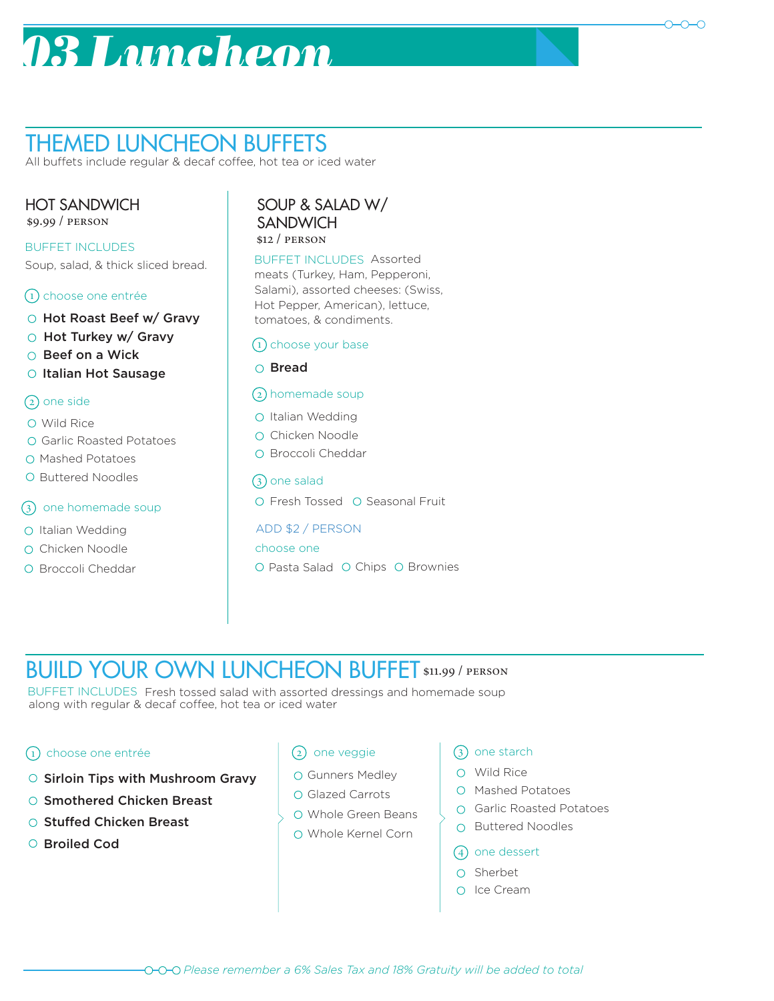# *03 Luncheon*



All buffets include regular & decaf coffee, hot tea or iced water

### HOT SANDWICH

\$9.99 / person

Soup, salad, & thick sliced bread. BUFFET INCLUDES

### 1 choose one entrée

- O Hot Roast Beef w/ Gravy
- Hot Turkey w/ Gravy
- Beef on a Wick
- O Italian Hot Sausage

#### 2 one side

- Wild Rice
- Garlic Roasted Potatoes
- O Mashed Potatoes
- O Buttered Noodles

#### 3 one homemade soup

- O Italian Wedding
- O Chicken Noodle
- O Broccoli Cheddar

#### \$12 / person SOUP & SALAD W/ **SANDWICH**

BUFFET INCLUDES Assorted meats (Turkey, Ham, Pepperoni, Salami), assorted cheeses: (Swiss, Hot Pepper, American), lettuce, tomatoes, & condiments.

#### 1 choose your base

#### Bread

#### 2 homemade soup

- O Italian Wedding
- O Chicken Noodle
- O Broccoli Cheddar

#### 3) one salad

O Fresh Tossed O Seasonal Fruit

#### ADD \$2 / PERSON

choose one

O Pasta Salad O Chips O Brownies

## BUILD YOUR OWN LUNCHEON BUFFET \$11.99 / PERSON

BUFFET INCLUDES Fresh tossed salad with assorted dressings and homemade soup along with regular & decaf coffee, hot tea or iced water

#### 1 choose one entrée

- $\circ$  Sirloin Tips with Mushroom Gravy  $\left\vert \circ\right\rangle$  Gunners Medley  $\left\vert \circ\right\rangle$  O Wild Rice
- Smothered Chicken Breast
- Stuffed Chicken Breast
- O Broiled Cod

#### 2) one veggie

- 
- Glazed Carrots
- Whole Green Beans
- Whole Kernel Corn

#### 3 one starch

- 
- Mashed Potatoes
- Garlic Roasted Potatoes
- O Buttered Noodles
- 4 one dessert
- O Sherbet
- O Ice Cream